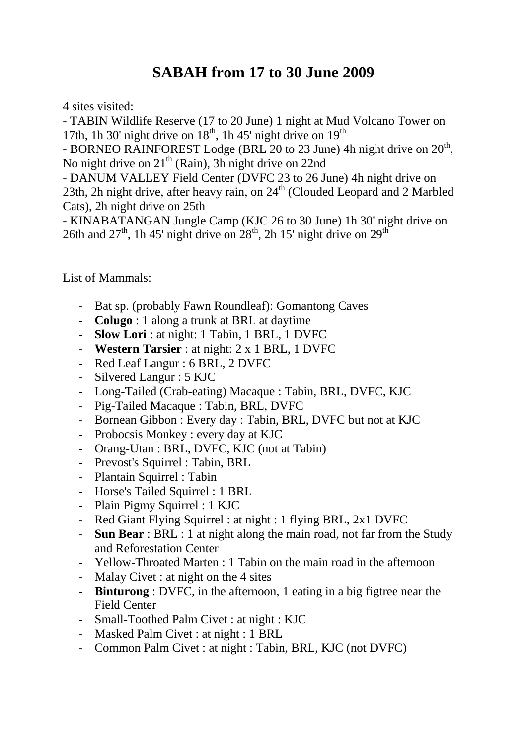## **SABAH from 17 to 30 June 2009**

4 sites visited:

- TABIN Wildlife Reserve (17 to 20 June) 1 night at Mud Volcano Tower on 17th, 1h 30' night drive on  $18<sup>th</sup>$ , 1h 45' night drive on  $19<sup>th</sup>$ 

- BORNEO RAINFOREST Lodge (BRL 20 to 23 June) 4h night drive on  $20<sup>th</sup>$ , No night drive on  $21^{th}$  (Rain), 3h night drive on 22nd

- DANUM VALLEY Field Center (DVFC 23 to 26 June) 4h night drive on 23th, 2h night drive, after heavy rain, on  $24<sup>th</sup>$  (Clouded Leopard and 2 Marbled Cats), 2h night drive on 25th

- KINABATANGAN Jungle Camp (KJC 26 to 30 June) 1h 30' night drive on 26th and  $27<sup>th</sup>$ , 1h 45' night drive on  $28<sup>th</sup>$ , 2h 15' night drive on  $29<sup>th</sup>$ 

List of Mammals:

- Bat sp. (probably Fawn Roundleaf): Gomantong Caves
- **Colugo** : 1 along a trunk at BRL at daytime
- **Slow Lori** : at night: 1 Tabin, 1 BRL, 1 DVFC
- **Western Tarsier** : at night: 2 x 1 BRL, 1 DVFC
- Red Leaf Langur : 6 BRL, 2 DVFC
- Silvered Langur : 5 KJC
- Long-Tailed (Crab-eating) Macaque : Tabin, BRL, DVFC, KJC
- Pig-Tailed Macaque : Tabin, BRL, DVFC
- Bornean Gibbon : Every day : Tabin, BRL, DVFC but not at KJC
- Probocsis Monkey : every day at KJC
- Orang-Utan : BRL, DVFC, KJC (not at Tabin)
- Prevost's Squirrel : Tabin, BRL
- Plantain Squirrel : Tabin
- Horse's Tailed Squirrel : 1 BRL
- Plain Pigmy Squirrel : 1 KJC
- Red Giant Flying Squirrel : at night : 1 flying BRL, 2x1 DVFC
- **Sun Bear** : BRL : 1 at night along the main road, not far from the Study and Reforestation Center
- Yellow-Throated Marten : 1 Tabin on the main road in the afternoon
- Malay Civet : at night on the 4 sites
- **Binturong** : DVFC, in the afternoon, 1 eating in a big figtree near the Field Center
- Small-Toothed Palm Civet : at night : KJC
- Masked Palm Civet : at night : 1 BRL
- Common Palm Civet : at night : Tabin, BRL, KJC (not DVFC)